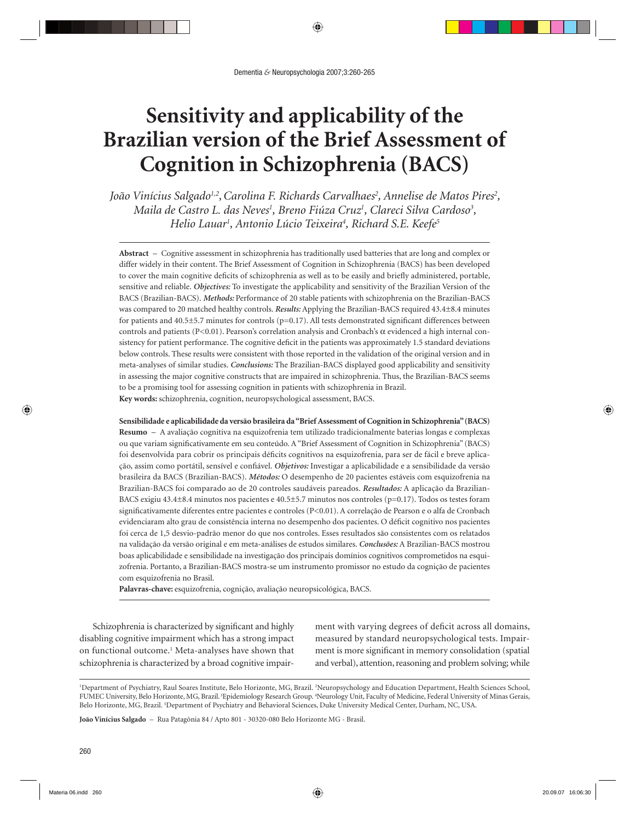# **Sensitivity and applicability of the Brazilian version of the Brief Assessment of Cognition in Schizophrenia (BACS)**

João Vinícius Salgado<sup>1,2</sup>, Carolina F. Richards Carvalhaes<sup>2</sup>, Annelise de Matos Pires<sup>2</sup>, *Maila de Castro L. das Neves1 , Breno Fiúza Cruz1 , Clareci Silva Cardoso3 , Helio Lauar1 , Antonio Lúcio Teixeira4 , Richard S.E. Keefe5*

**Abstract** – Cognitive assessment in schizophrenia has traditionally used batteries that are long and complex or differ widely in their content. The Brief Assessment of Cognition in Schizophrenia (BACS) has been developed to cover the main cognitive deficits of schizophrenia as well as to be easily and briefly administered, portable, sensitive and reliable. *Objectives:* To investigate the applicability and sensitivity of the Brazilian Version of the BACS (Brazilian-BACS). *Methods:* Performance of 20 stable patients with schizophrenia on the Brazilian-BACS was compared to 20 matched healthy controls. *Results:* Applying the Brazilian-BACS required 43.4±8.4 minutes for patients and 40.5±5.7 minutes for controls (p=0.17). All tests demonstrated significant differences between controls and patients (P<0.01). Pearson's correlation analysis and Cronbach's α evidenced a high internal consistency for patient performance. The cognitive deficit in the patients was approximately 1.5 standard deviations below controls. These results were consistent with those reported in the validation of the original version and in meta-analyses of similar studies. *Conclusions:* The Brazilian-BACS displayed good applicability and sensitivity in assessing the major cognitive constructs that are impaired in schizophrenia. Thus, the Brazilian-BACS seems to be a promising tool for assessing cognition in patients with schizophrenia in Brazil. **Key words:** schizophrenia, cognition, neuropsychological assessment, BACS.

**Sensibilidade e aplicabilidade da versão brasileira da "Brief Assessment of Cognition in Schizophrenia" (BACS) Resumo** – A avaliação cognitiva na esquizofrenia tem utilizado tradicionalmente baterias longas e complexas ou que variam significativamente em seu conteúdo. A "Brief Assessment of Cognition in Schizophrenia" (BACS) foi desenvolvida para cobrir os principais déficits cognitivos na esquizofrenia, para ser de fácil e breve aplicação, assim como portátil, sensível e confiável. *Objetivos:* Investigar a aplicabilidade e a sensibilidade da versão brasileira da BACS (Brazilian-BACS). *Métodos:* O desempenho de 20 pacientes estáveis com esquizofrenia na Brazilian-BACS foi comparado ao de 20 controles saudáveis pareados. *Resultados:* A aplicação da Brazilian-BACS exigiu 43.4±8.4 minutos nos pacientes e 40.5±5.7 minutos nos controles (p=0.17). Todos os testes foram significativamente diferentes entre pacientes e controles (P<0.01). A correlação de Pearson e o alfa de Cronbach evidenciaram alto grau de consistência interna no desempenho dos pacientes. O déficit cognitivo nos pacientes foi cerca de 1,5 desvio-padrão menor do que nos controles. Esses resultados são consistentes com os relatados na validação da versão original e em meta-análises de estudos similares. *Conclusões:* A Brazilian-BACS mostrou boas aplicabilidade e sensibilidade na investigação dos principais domínios cognitivos comprometidos na esquizofrenia. Portanto, a Brazilian-BACS mostra-se um instrumento promissor no estudo da cognição de pacientes com esquizofrenia no Brasil.

**Palavras-chave:** esquizofrenia, cognição, avaliação neuropsicológica, BACS.

Schizophrenia is characterized by significant and highly disabling cognitive impairment which has a strong impact on functional outcome.<sup>1</sup> Meta-analyses have shown that schizophrenia is characterized by a broad cognitive impairment with varying degrees of deficit across all domains, measured by standard neuropsychological tests. Impairment is more significant in memory consolidation (spatial and verbal), attention, reasoning and problem solving; while

**João Vinícius Salgado** – Rua Patagônia 84 / Apto 801 - 30320-080 Belo Horizonte MG - Brasil.

<sup>1</sup> Department of Psychiatry, Raul Soares Institute, Belo Horizonte, MG, Brazil. 2 Neuropsychology and Education Department, Health Sciences School, FUMEC University, Belo Horizonte, MG, Brazil. 3Epidemiology Research Group. 4 Neurology Unit, Faculty of Medicine, Federal University of Minas Gerais, Belo Horizonte, MG, Brazil. <sup>5</sup>Department of Psychiatry and Behavioral Sciences, Duke University Medical Center, Durham, NC, USA.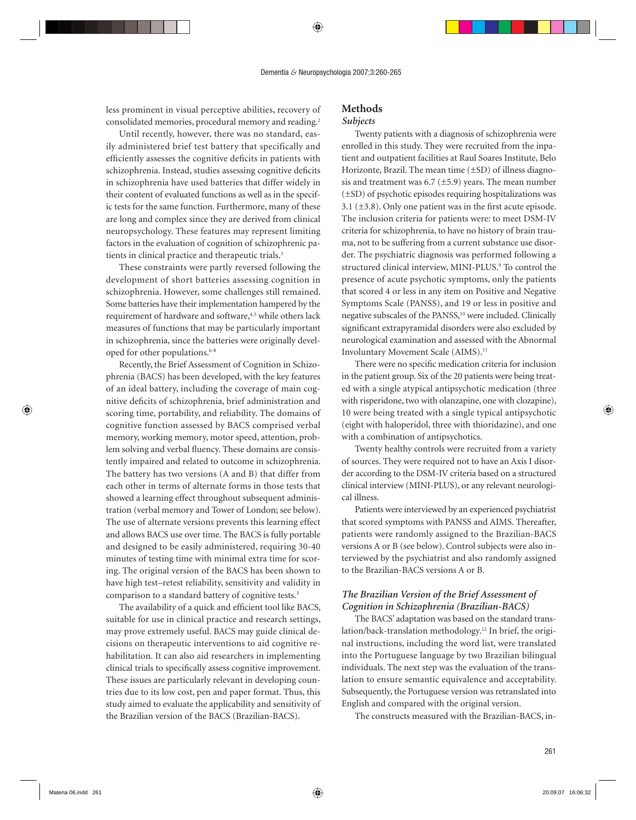less prominent in visual perceptive abilities, recovery of consolidated memories, procedural memory and reading.<sup>2</sup>

Until recently, however, there was no standard, easily administered brief test battery that specifically and efficiently assesses the cognitive deficits in patients with schizophrenia. Instead, studies assessing cognitive deficits in schizophrenia have used batteries that differ widely in their content of evaluated functions as well as in the specific tests for the same function. Furthermore, many of these are long and complex since they are derived from clinical neuropsychology. These features may represent limiting factors in the evaluation of cognition of schizophrenic patients in clinical practice and therapeutic trials.<sup>3</sup>

These constraints were partly reversed following the development of short batteries assessing cognition in schizophrenia. However, some challenges still remained. Some batteries have their implementation hampered by the requirement of hardware and software,<sup>4,5</sup> while others lack measures of functions that may be particularly important in schizophrenia, since the batteries were originally developed for other populations.<sup>6-8</sup>

Recently, the Brief Assessment of Cognition in Schizophrenia (BACS) has been developed, with the key features of an ideal battery, including the coverage of main cognitive deficits of schizophrenia, brief administration and scoring time, portability, and reliability. The domains of cognitive function assessed by BACS comprised verbal memory, working memory, motor speed, attention, problem solving and verbal fluency. These domains are consistently impaired and related to outcome in schizophrenia. The battery has two versions (A and B) that differ from each other in terms of alternate forms in those tests that showed a learning effect throughout subsequent administration (verbal memory and Tower of London; see below). The use of alternate versions prevents this learning effect and allows BACS use over time. The BACS is fully portable and designed to be easily administered, requiring 30-40 minutes of testing time with minimal extra time for scoring. The original version of the BACS has been shown to have high test–retest reliability, sensitivity and validity in comparison to a standard battery of cognitive tests.<sup>3</sup>

The availability of a quick and efficient tool like BACS, suitable for use in clinical practice and research settings, may prove extremely useful. BACS may guide clinical decisions on therapeutic interventions to aid cognitive rehabilitation. It can also aid researchers in implementing clinical trials to specifically assess cognitive improvement. These issues are particularly relevant in developing countries due to its low cost, pen and paper format. Thus, this study aimed to evaluate the applicability and sensitivity of the Brazilian version of the BACS (Brazilian-BACS).

## **Methods** *Subjects*

Twenty patients with a diagnosis of schizophrenia were enrolled in this study. They were recruited from the inpatient and outpatient facilities at Raul Soares Institute, Belo Horizonte, Brazil. The mean time (±SD) of illness diagnosis and treatment was  $6.7$  ( $\pm$ 5.9) years. The mean number (±SD) of psychotic episodes requiring hospitalizations was 3.1  $(\pm 3.8)$ . Only one patient was in the first acute episode. The inclusion criteria for patients were: to meet DSM-IV criteria for schizophrenia, to have no history of brain trauma, not to be suffering from a current substance use disorder. The psychiatric diagnosis was performed following a structured clinical interview, MINI-PLUS.<sup>9</sup> To control the presence of acute psychotic symptoms, only the patients that scored 4 or less in any item on Positive and Negative Symptoms Scale (PANSS), and 19 or less in positive and negative subscales of the PANSS,<sup>10</sup> were included. Clinically significant extrapyramidal disorders were also excluded by neurological examination and assessed with the Abnormal Involuntary Movement Scale (AIMS).<sup>11</sup>

There were no specific medication criteria for inclusion in the patient group. Six of the 20 patients were being treated with a single atypical antipsychotic medication (three with risperidone, two with olanzapine, one with clozapine), 10 were being treated with a single typical antipsychotic (eight with haloperidol, three with thioridazine), and one with a combination of antipsychotics.

Twenty healthy controls were recruited from a variety of sources. They were required not to have an Axis I disorder according to the DSM-IV criteria based on a structured clinical interview (MINI-PLUS), or any relevant neurological illness.

Patients were interviewed by an experienced psychiatrist that scored symptoms with PANSS and AIMS. Thereafter, patients were randomly assigned to the Brazilian-BACS versions A or B (see below). Control subjects were also interviewed by the psychiatrist and also randomly assigned to the Brazilian-BACS versions A or B.

# *The Brazilian Version of the Brief Assessment of Cognition in Schizophrenia (Brazilian-BACS)*

The BACS' adaptation was based on the standard translation/back-translation methodology.12 In brief, the original instructions, including the word list, were translated into the Portuguese language by two Brazilian bilingual individuals. The next step was the evaluation of the translation to ensure semantic equivalence and acceptability. Subsequently, the Portuguese version was retranslated into English and compared with the original version.

The constructs measured with the Brazilian-BACS, in-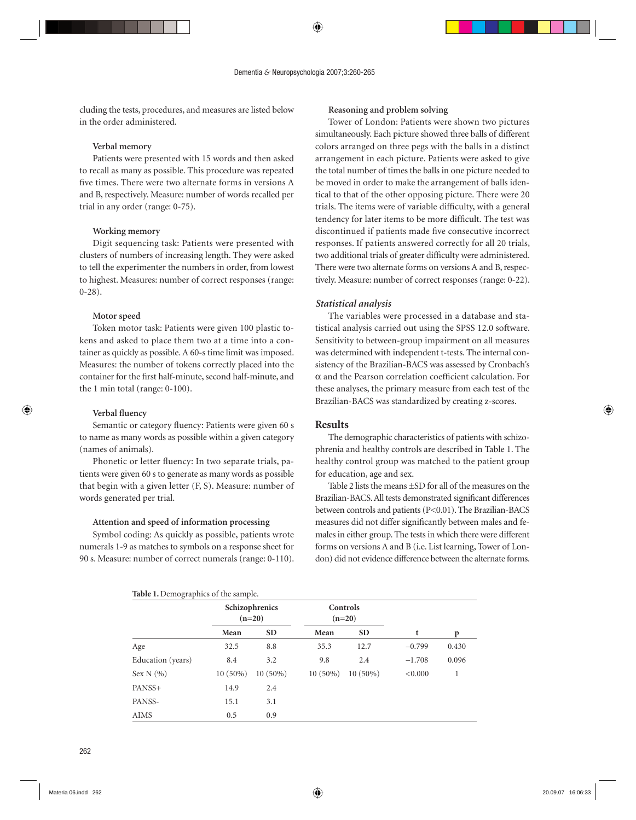cluding the tests, procedures, and measures are listed below in the order administered.

#### **Verbal memory**

Patients were presented with 15 words and then asked to recall as many as possible. This procedure was repeated five times. There were two alternate forms in versions A and B, respectively. Measure: number of words recalled per trial in any order (range: 0-75).

# **Working memory**

Digit sequencing task: Patients were presented with clusters of numbers of increasing length. They were asked to tell the experimenter the numbers in order, from lowest to highest. Measures: number of correct responses (range: 0-28).

#### **Motor speed**

Token motor task: Patients were given 100 plastic tokens and asked to place them two at a time into a container as quickly as possible. A 60-s time limit was imposed. Measures: the number of tokens correctly placed into the container for the first half-minute, second half-minute, and the 1 min total (range: 0-100).

#### **Verbal fluency**

Semantic or category fluency: Patients were given 60 s to name as many words as possible within a given category (names of animals).

Phonetic or letter fluency: In two separate trials, patients were given 60 s to generate as many words as possible that begin with a given letter (F, S). Measure: number of words generated per trial.

#### **Attention and speed of information processing**

Symbol coding: As quickly as possible, patients wrote numerals 1-9 as matches to symbols on a response sheet for 90 s. Measure: number of correct numerals (range: 0-110).

**Table 1.** Demographics of the sample.

#### **Reasoning and problem solving**

Tower of London: Patients were shown two pictures simultaneously. Each picture showed three balls of different colors arranged on three pegs with the balls in a distinct arrangement in each picture. Patients were asked to give the total number of times the balls in one picture needed to be moved in order to make the arrangement of balls identical to that of the other opposing picture. There were 20 trials. The items were of variable difficulty, with a general tendency for later items to be more difficult. The test was discontinued if patients made five consecutive incorrect responses. If patients answered correctly for all 20 trials, two additional trials of greater difficulty were administered. There were two alternate forms on versions A and B, respectively. Measure: number of correct responses (range: 0-22).

#### *Statistical analysis*

The variables were processed in a database and statistical analysis carried out using the SPSS 12.0 software. Sensitivity to between-group impairment on all measures was determined with independent t-tests. The internal consistency of the Brazilian-BACS was assessed by Cronbach's  $\alpha$  and the Pearson correlation coefficient calculation. For these analyses, the primary measure from each test of the Brazilian-BACS was standardized by creating z-scores.

#### **Results**

The demographic characteristics of patients with schizophrenia and healthy controls are described in Table 1. The healthy control group was matched to the patient group for education, age and sex.

Table 2 lists the means ±SD for all of the measures on the Brazilian-BACS. All tests demonstrated significant differences between controls and patients (P<0.01). The Brazilian-BACS measures did not differ significantly between males and females in either group. The tests in which there were different forms on versions A and B (i.e. List learning, Tower of London) did not evidence difference between the alternate forms.

|                   | Schizophrenics<br>$(n=20)$ |            | Controls<br>$(n=20)$ |            |          |       |
|-------------------|----------------------------|------------|----------------------|------------|----------|-------|
|                   | Mean                       | <b>SD</b>  | Mean                 | <b>SD</b>  | t        | p     |
| Age               | 32.5                       | 8.8        | 35.3                 | 12.7       | $-0.799$ | 0.430 |
| Education (years) | 8.4                        | 3.2        | 9.8                  | 2.4        | $-1.708$ | 0.096 |
| Sex N $(% )$      | $10(50\%)$                 | $10(50\%)$ | $10(50\%)$           | $10(50\%)$ | < 0.000  | 1     |
| PANSS+            | 14.9                       | 2.4        |                      |            |          |       |
| PANSS-            | 15.1                       | 3.1        |                      |            |          |       |
| <b>AIMS</b>       | 0.5                        | 0.9        |                      |            |          |       |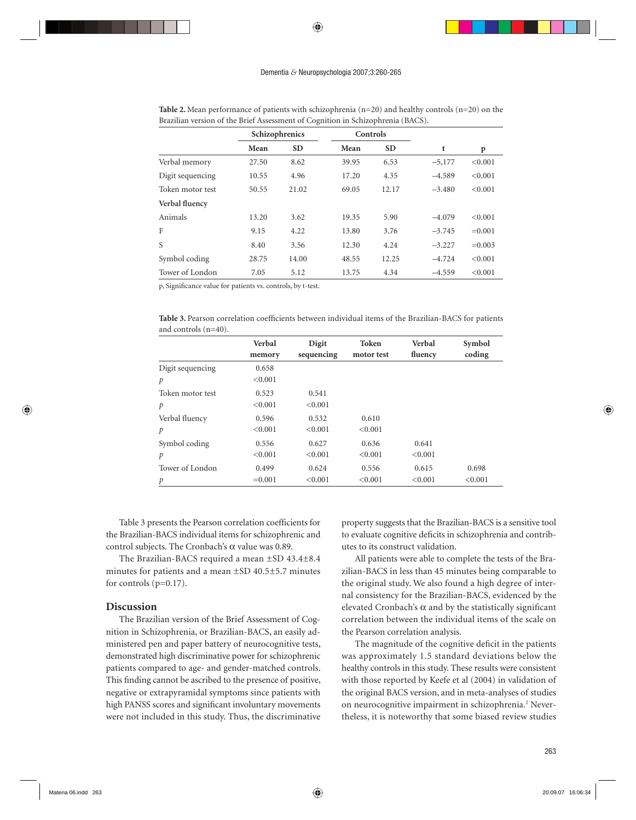|                  | Schizophrenics |           | Controls |           |          |           |
|------------------|----------------|-----------|----------|-----------|----------|-----------|
|                  | Mean           | <b>SD</b> | Mean     | <b>SD</b> | t        | p         |
| Verbal memory    | 27.50          | 8.62      | 39.95    | 6.53      | $-5,177$ | < 0.001   |
| Digit sequencing | 10.55          | 4.96      | 17.20    | 4.35      | $-4.589$ | < 0.001   |
| Token motor test | 50.55          | 21.02     | 69.05    | 12.17     | $-3.480$ | < 0.001   |
| Verbal fluency   |                |           |          |           |          |           |
| Animals          | 13.20          | 3.62      | 19.35    | 5.90      | $-4.079$ | < 0.001   |
| F                | 9.15           | 4.22      | 13.80    | 3.76      | $-3.745$ | $= 0.001$ |
| S                | 8.40           | 3.56      | 12.30    | 4.24      | $-3.227$ | $= 0.003$ |
| Symbol coding    | 28.75          | 14.00     | 48.55    | 12.25     | $-4.724$ | < 0.001   |
| Tower of London  | 7.05           | 5.12      | 13.75    | 4.34      | $-4.559$ | < 0.001   |
|                  |                |           |          |           |          |           |

**Table 2.** Mean performance of patients with schizophrenia (n=20) and healthy controls (n=20) on the Brazilian version of the Brief Assessment of Cognition in Schizophrenia (BACS).

p, Significance value for patients vs. controls, by t-test.

Table 3. Pearson correlation coefficients between individual items of the Brazilian-BACS for patients and controls (n=40).

|                  | Verbal   | Digit      | Token      | Verbal  | Symbol  |
|------------------|----------|------------|------------|---------|---------|
|                  | memory   | sequencing | motor test | fluency | coding  |
| Digit sequencing | 0.658    |            |            |         |         |
| $\mathcal{P}$    | < 0.001  |            |            |         |         |
| Token motor test | 0.523    | 0.541      |            |         |         |
| $\mathcal{P}$    | < 0.001  | < 0.001    |            |         |         |
| Verbal fluency   | 0.596    | 0.532      | 0.610      |         |         |
| $\mathcal{P}$    | < 0.001  | < 0.001    | < 0.001    |         |         |
| Symbol coding    | 0.556    | 0.627      | 0.636      | 0.641   |         |
| $\mathcal{P}$    | < 0.001  | < 0.001    | < 0.001    | < 0.001 |         |
| Tower of London  | 0.499    | 0.624      | 0.556      | 0.615   | 0.698   |
| р                | $=0.001$ | < 0.001    | < 0.001    | < 0.001 | < 0.001 |

Table 3 presents the Pearson correlation coefficients for the Brazilian-BACS individual items for schizophrenic and control subjects. The Cronbach's  $\alpha$  value was 0.89.

The Brazilian-BACS required a mean ±SD 43.4±8.4 minutes for patients and a mean ±SD 40.5±5.7 minutes for controls (p=0.17).

### **Discussion**

The Brazilian version of the Brief Assessment of Cognition in Schizophrenia, or Brazilian-BACS, an easily administered pen and paper battery of neurocognitive tests, demonstrated high discriminative power for schizophrenic patients compared to age- and gender-matched controls. This finding cannot be ascribed to the presence of positive, negative or extrapyramidal symptoms since patients with high PANSS scores and significant involuntary movements were not included in this study. Thus, the discriminative property suggests that the Brazilian-BACS is a sensitive tool to evaluate cognitive deficits in schizophrenia and contributes to its construct validation.

All patients were able to complete the tests of the Brazilian-BACS in less than 45 minutes being comparable to the original study. We also found a high degree of internal consistency for the Brazilian-BACS, evidenced by the elevated Cronbach's  $\alpha$  and by the statistically significant correlation between the individual items of the scale on the Pearson correlation analysis.

The magnitude of the cognitive deficit in the patients was approximately 1.5 standard deviations below the healthy controls in this study. These results were consistent with those reported by Keefe et al (2004) in validation of the original BACS version, and in meta-analyses of studies on neurocognitive impairment in schizophrenia.<sup>2</sup> Nevertheless, it is noteworthy that some biased review studies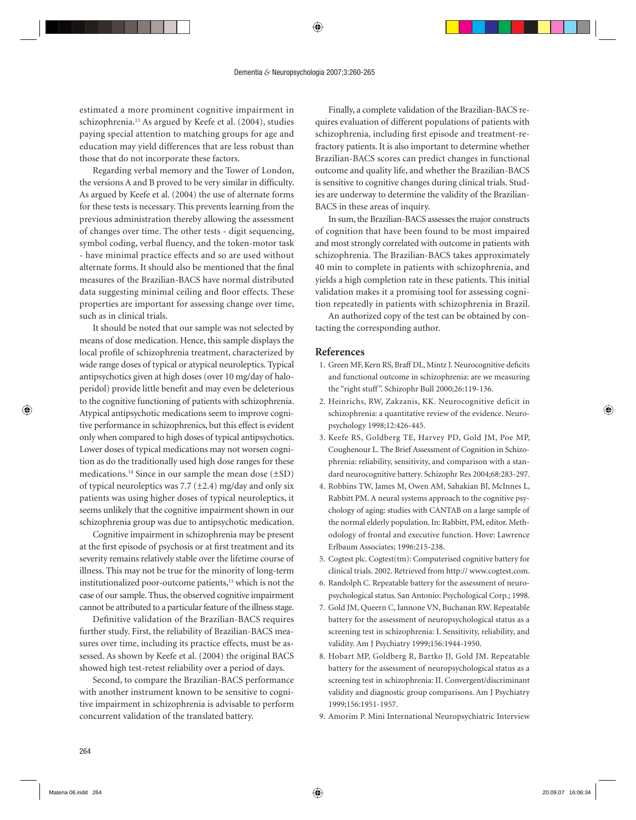estimated a more prominent cognitive impairment in schizophrenia.13 As argued by Keefe et al. (2004), studies paying special attention to matching groups for age and education may yield differences that are less robust than those that do not incorporate these factors.

Regarding verbal memory and the Tower of London, the versions A and B proved to be very similar in difficulty. As argued by Keefe et al. (2004) the use of alternate forms for these tests is necessary. This prevents learning from the previous administration thereby allowing the assessment of changes over time. The other tests - digit sequencing, symbol coding, verbal fluency, and the token-motor task - have minimal practice effects and so are used without alternate forms. It should also be mentioned that the final measures of the Brazilian-BACS have normal distributed data suggesting minimal ceiling and floor effects. These properties are important for assessing change over time, such as in clinical trials.

It should be noted that our sample was not selected by means of dose medication. Hence, this sample displays the local profile of schizophrenia treatment, characterized by wide range doses of typical or atypical neuroleptics. Typical antipsychotics given at high doses (over 10 mg/day of haloperidol) provide little benefit and may even be deleterious to the cognitive functioning of patients with schizophrenia. Atypical antipsychotic medications seem to improve cognitive performance in schizophrenics, but this effect is evident only when compared to high doses of typical antipsychotics. Lower doses of typical medications may not worsen cognition as do the traditionally used high dose ranges for these medications.<sup>14</sup> Since in our sample the mean dose  $(\pm SD)$ of typical neuroleptics was 7.7  $(\pm 2.4)$  mg/day and only six patients was using higher doses of typical neuroleptics, it seems unlikely that the cognitive impairment shown in our schizophrenia group was due to antipsychotic medication.

Cognitive impairment in schizophrenia may be present at the first episode of psychosis or at first treatment and its severity remains relatively stable over the lifetime course of illness. This may not be true for the minority of long-term institutionalized poor-outcome patients,<sup>15</sup> which is not the case of our sample. Thus, the observed cognitive impairment cannot be attributed to a particular feature of the illness stage.

Definitive validation of the Brazilian-BACS requires further study. First, the reliability of Brazilian-BACS measures over time, including its practice effects, must be assessed. As shown by Keefe et al. (2004) the original BACS showed high test-retest reliability over a period of days.

Second, to compare the Brazilian-BACS performance with another instrument known to be sensitive to cognitive impairment in schizophrenia is advisable to perform concurrent validation of the translated battery.

Finally, a complete validation of the Brazilian-BACS requires evaluation of different populations of patients with schizophrenia, including first episode and treatment-refractory patients. It is also important to determine whether Brazilian-BACS scores can predict changes in functional outcome and quality life, and whether the Brazilian-BACS is sensitive to cognitive changes during clinical trials. Studies are underway to determine the validity of the Brazilian-BACS in these areas of inquiry.

In sum, the Brazilian-BACS assesses the major constructs of cognition that have been found to be most impaired and most strongly correlated with outcome in patients with schizophrenia. The Brazilian-BACS takes approximately 40 min to complete in patients with schizophrenia, and yields a high completion rate in these patients. This initial validation makes it a promising tool for assessing cognition repeatedly in patients with schizophrenia in Brazil.

An authorized copy of the test can be obtained by contacting the corresponding author.

#### **References**

- 1. Green MF, Kern RS, Braff DL, Mintz J. Neurocognitive deficits and functional outcome in schizophrenia: are we measuring the "right stuff". Schizophr Bull 2000;26:119-136.
- 2. Heinrichs, RW, Zakzanis, KK. Neurocognitive deficit in schizophrenia: a quantitative review of the evidence. Neuropsychology 1998;12:426-445.
- 3. Keefe RS, Goldberg TE, Harvey PD, Gold JM, Poe MP, Coughenour L. The Brief Assessment of Cognition in Schizophrenia: reliability, sensitivity, and comparison with a standard neurocognitive battery. Schizophr Res 2004;68:283-297.
- 4. Robbins TW, James M, Owen AM, Sahakian BJ, McInnes L, Rabbitt PM. A neural systems approach to the cognitive psychology of aging: studies with CANTAB on a large sample of the normal elderly population. In: Rabbitt, PM, editor. Methodology of frontal and executive function. Hove: Lawrence Erlbaum Associates; 1996:215-238.
- 5. Cogtest plc. Cogtest(tm): Computerised cognitive battery for clinical trials. 2002. Retrieved from http:// www.cogtest.com.
- 6. Randolph C. Repeatable battery for the assessment of neuropsychological status. San Antonio: Psychological Corp.; 1998.
- 7. Gold JM, Queern C, Iannone VN, Buchanan RW. Repeatable battery for the assessment of neuropsychological status as a screening test in schizophrenia: I. Sensitivity, reliability, and validity. Am J Psychiatry 1999;156:1944-1950.
- 8. Hobart MP, Goldberg R, Bartko JJ, Gold JM. Repeatable battery for the assessment of neuropsychological status as a screening test in schizophrenia: II. Convergent/discriminant validity and diagnostic group comparisons. Am J Psychiatry 1999;156:1951-1957.
- 9. Amorim P. Mini International Neuropsychiatric Interview